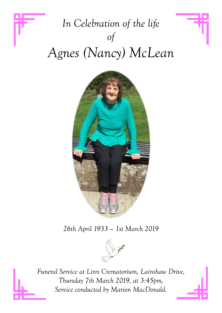# *In Celebration of the life of Agnes (Nancy) McLean*



*26th April 1933 – 1st March 2019*



*Funeral Service at Linn Crematorium, Lainshaw Drive, Thursday 7th March 2019, at 3:45pm, Service conducted by Marion MacDonald.*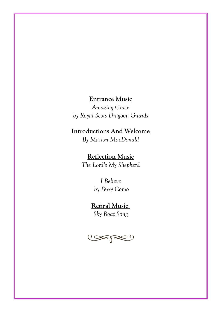### **Entrance Music**

*Amazing Grace by Royal Scots Dragoon Guards* 

## **Introductions And Welcome**

*By Marion MacDonald*

# **Reflection Music**

*The Lord's My Shepherd* 

## *I Believe by Perry Como*

## **Retiral Music**

*Sky Boat Song* 

 $\text{C}\text{C}$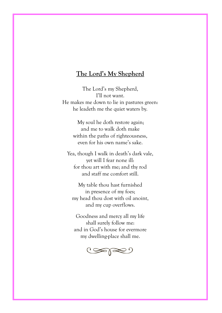#### **The Lord's My Shepherd**

The Lord's my Shepherd, I'll not want. He makes me down to lie in pastures green: he leadeth me the quiet waters by.

> My soul he doth restore again; and me to walk doth make within the paths of righteousness, even for his own name's sake.

Yea, though I walk in death's dark vale, yet will I fear none ill: for thou art with me; and thy rod and staff me comfort still.

My table thou hast furnished in presence of my foes; my head thou dost with oil anoint, and my cup overflows.

Goodness and mercy all my life shall surely follow me: and in God's house for evermore my dwelling-place shall me.